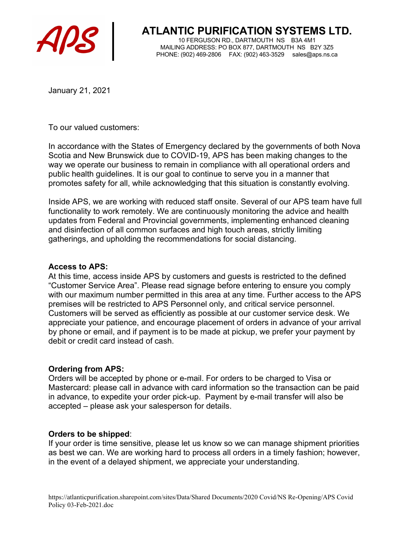

**ATLANTIC PURIFICATION SYSTEMS LTD.**<br>10 FERGUSON RD., DARTMOUTH NS B3A 4M1

10 FERGUSON RD., DARTMOUTH NS B3A 4M1 MAILING ADDRESS: PO BOX 877, DARTMOUTH NS B2Y 3Z5 PHONE: (902) 469-2806 FAX: (902) 463-3529 sales@aps.ns.ca

January 21, 2021

To our valued customers:

In accordance with the States of Emergency declared by the governments of both Nova Scotia and New Brunswick due to COVID-19, APS has been making changes to the way we operate our business to remain in compliance with all operational orders and public health guidelines. It is our goal to continue to serve you in a manner that promotes safety for all, while acknowledging that this situation is constantly evolving.

Inside APS, we are working with reduced staff onsite. Several of our APS team have full functionality to work remotely. We are continuously monitoring the advice and health updates from Federal and Provincial governments, implementing enhanced cleaning and disinfection of all common surfaces and high touch areas, strictly limiting gatherings, and upholding the recommendations for social distancing.

### Access to APS:

At this time, access inside APS by customers and guests is restricted to the defined "Customer Service Area". Please read signage before entering to ensure you comply with our maximum number permitted in this area at any time. Further access to the APS premises will be restricted to APS Personnel only, and critical service personnel. Customers will be served as efficiently as possible at our customer service desk. We appreciate your patience, and encourage placement of orders in advance of your arrival by phone or email, and if payment is to be made at pickup, we prefer your payment by debit or credit card instead of cash.

### Ordering from APS:

Orders will be accepted by phone or e-mail. For orders to be charged to Visa or Mastercard: please call in advance with card information so the transaction can be paid in advance, to expedite your order pick-up. Payment by e-mail transfer will also be accepted – please ask your salesperson for details.

#### Orders to be shipped:

If your order is time sensitive, please let us know so we can manage shipment priorities as best we can. We are working hard to process all orders in a timely fashion; however, in the event of a delayed shipment, we appreciate your understanding.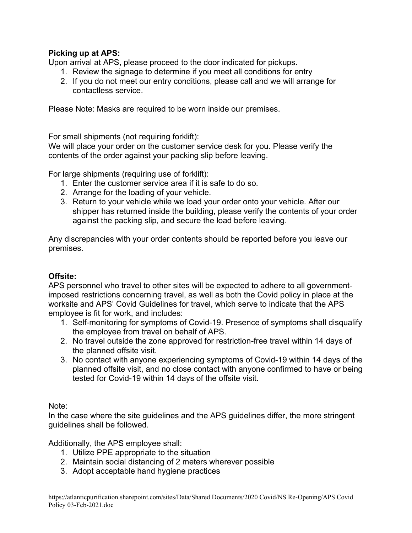# Picking up at APS:

Upon arrival at APS, please proceed to the door indicated for pickups.

- 1. Review the signage to determine if you meet all conditions for entry
- 2. If you do not meet our entry conditions, please call and we will arrange for contactless service.

Please Note: Masks are required to be worn inside our premises.

For small shipments (not requiring forklift):

We will place your order on the customer service desk for you. Please verify the contents of the order against your packing slip before leaving.

For large shipments (requiring use of forklift):

- 1. Enter the customer service area if it is safe to do so.
- 2. Arrange for the loading of your vehicle.
- 3. Return to your vehicle while we load your order onto your vehicle. After our shipper has returned inside the building, please verify the contents of your order against the packing slip, and secure the load before leaving.

Any discrepancies with your order contents should be reported before you leave our premises.

# Offsite:

APS personnel who travel to other sites will be expected to adhere to all governmentimposed restrictions concerning travel, as well as both the Covid policy in place at the worksite and APS' Covid Guidelines for travel, which serve to indicate that the APS employee is fit for work, and includes:

- 1. Self-monitoring for symptoms of Covid-19. Presence of symptoms shall disqualify the employee from travel on behalf of APS.
- 2. No travel outside the zone approved for restriction-free travel within 14 days of the planned offsite visit.
- 3. No contact with anyone experiencing symptoms of Covid-19 within 14 days of the planned offsite visit, and no close contact with anyone confirmed to have or being tested for Covid-19 within 14 days of the offsite visit.

Note:

In the case where the site guidelines and the APS guidelines differ, the more stringent guidelines shall be followed.

Additionally, the APS employee shall:

- 1. Utilize PPE appropriate to the situation
- 2. Maintain social distancing of 2 meters wherever possible
- 3. Adopt acceptable hand hygiene practices